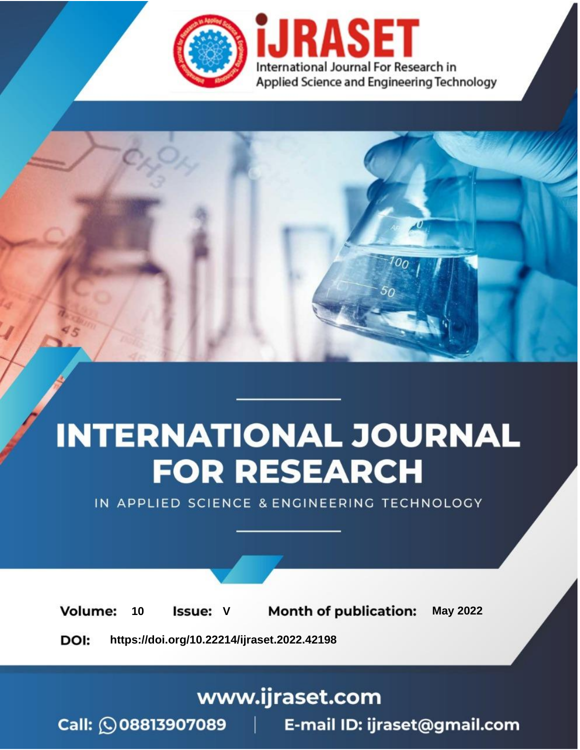

# **INTERNATIONAL JOURNAL FOR RESEARCH**

IN APPLIED SCIENCE & ENGINEERING TECHNOLOGY

Volume: **Month of publication: May 2022** 10 **Issue: V** 

DOI: https://doi.org/10.22214/ijraset.2022.42198

www.ijraset.com

Call: 008813907089 | E-mail ID: ijraset@gmail.com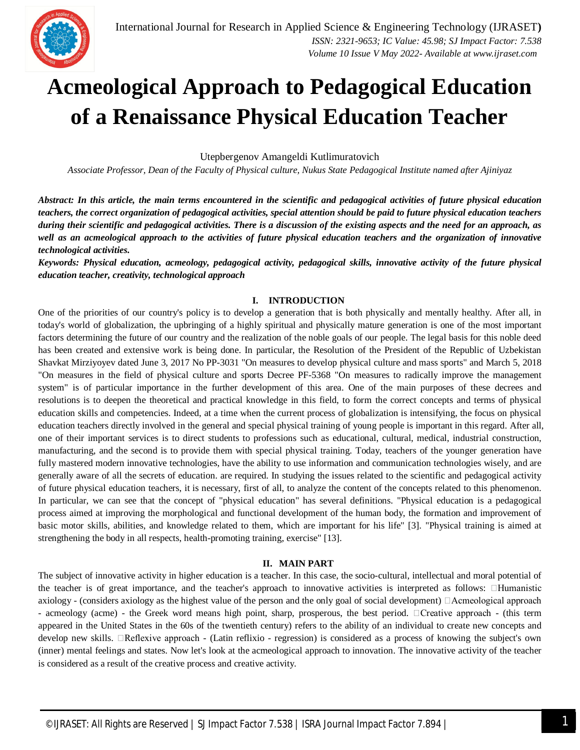

## **Acmeological Approach to Pedagogical Education of a Renaissance Physical Education Teacher**

Utepbergenov Amangeldi Kutlimuratovich

*Associate Professor, Dean of the Faculty of Physical culture, Nukus State Pedagogical Institute named after Ajiniyaz*

*Abstract: In this article, the main terms encountered in the scientific and pedagogical activities of future physical education teachers, the correct organization of pedagogical activities, special attention should be paid to future physical education teachers during their scientific and pedagogical activities. There is a discussion of the existing aspects and the need for an approach, as well as an acmeological approach to the activities of future physical education teachers and the organization of innovative technological activities.* 

*Keywords: Physical education, acmeology, pedagogical activity, pedagogical skills, innovative activity of the future physical education teacher, creativity, technological approach*

## **I. INTRODUCTION**

One of the priorities of our country's policy is to develop a generation that is both physically and mentally healthy. After all, in today's world of globalization, the upbringing of a highly spiritual and physically mature generation is one of the most important factors determining the future of our country and the realization of the noble goals of our people. The legal basis for this noble deed has been created and extensive work is being done. In particular, the Resolution of the President of the Republic of Uzbekistan Shavkat Mirziyoyev dated June 3, 2017 No PP-3031 "On measures to develop physical culture and mass sports" and March 5, 2018 "On measures in the field of physical culture and sports Decree PF-5368 "On measures to radically improve the management system" is of particular importance in the further development of this area. One of the main purposes of these decrees and resolutions is to deepen the theoretical and practical knowledge in this field, to form the correct concepts and terms of physical education skills and competencies. Indeed, at a time when the current process of globalization is intensifying, the focus on physical education teachers directly involved in the general and special physical training of young people is important in this regard. After all, one of their important services is to direct students to professions such as educational, cultural, medical, industrial construction, manufacturing, and the second is to provide them with special physical training. Today, teachers of the younger generation have fully mastered modern innovative technologies, have the ability to use information and communication technologies wisely, and are generally aware of all the secrets of education. are required. In studying the issues related to the scientific and pedagogical activity of future physical education teachers, it is necessary, first of all, to analyze the content of the concepts related to this phenomenon. In particular, we can see that the concept of "physical education" has several definitions. "Physical education is a pedagogical process aimed at improving the morphological and functional development of the human body, the formation and improvement of basic motor skills, abilities, and knowledge related to them, which are important for his life" [3]. "Physical training is aimed at strengthening the body in all respects, health-promoting training, exercise" [13].

## **II. MAIN PART**

The subject of innovative activity in higher education is a teacher. In this case, the socio-cultural, intellectual and moral potential of the teacher is of great importance, and the teacher's approach to innovative activities is interpreted as follows:  $\Box$ Humanistic axiology - (considers axiology as the highest value of the person and the only goal of social development)  $\Box$  Acmeological approach - acmeology (acme) - the Greek word means high point, sharp, prosperous, the best period. Creative approach - (this term appeared in the United States in the 60s of the twentieth century) refers to the ability of an individual to create new concepts and develop new skills. Reflexive approach - (Latin reflixio - regression) is considered as a process of knowing the subject's own (inner) mental feelings and states. Now let's look at the acmeological approach to innovation. The innovative activity of the teacher is considered as a result of the creative process and creative activity.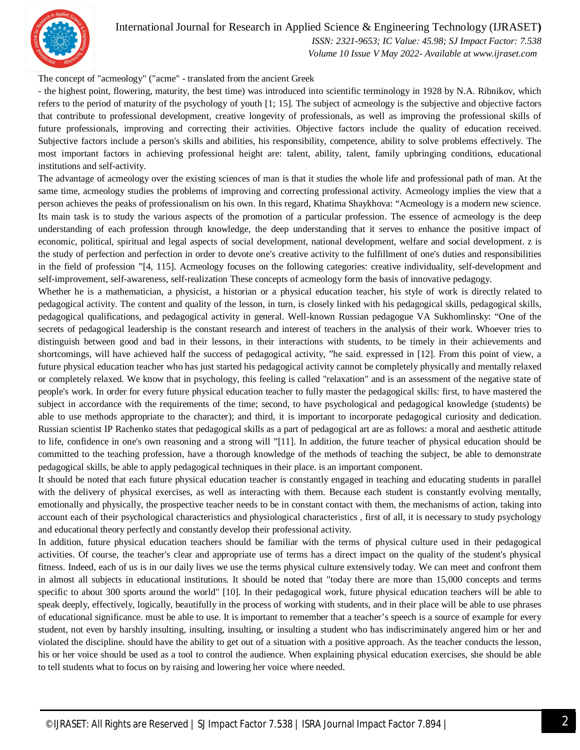

## International Journal for Research in Applied Science & Engineering Technology (IJRASET**)**

 *ISSN: 2321-9653; IC Value: 45.98; SJ Impact Factor: 7.538 Volume 10 Issue V May 2022- Available at www.ijraset.com*

The concept of "acmeology" ("acme" - translated from the ancient Greek

- the highest point, flowering, maturity, the best time) was introduced into scientific terminology in 1928 by N.A. Ribnikov, which refers to the period of maturity of the psychology of youth [1; 15]. The subject of acmeology is the subjective and objective factors that contribute to professional development, creative longevity of professionals, as well as improving the professional skills of future professionals, improving and correcting their activities. Objective factors include the quality of education received. Subjective factors include a person's skills and abilities, his responsibility, competence, ability to solve problems effectively. The most important factors in achieving professional height are: talent, ability, talent, family upbringing conditions, educational institutions and self-activity.

The advantage of acmeology over the existing sciences of man is that it studies the whole life and professional path of man. At the same time, acmeology studies the problems of improving and correcting professional activity. Acmeology implies the view that a person achieves the peaks of professionalism on his own. In this regard, Khatima Shaykhova: "Acmeology is a modern new science. Its main task is to study the various aspects of the promotion of a particular profession. The essence of acmeology is the deep understanding of each profession through knowledge, the deep understanding that it serves to enhance the positive impact of economic, political, spiritual and legal aspects of social development, national development, welfare and social development. z is the study of perfection and perfection in order to devote one's creative activity to the fulfillment of one's duties and responsibilities in the field of profession "[4, 115]. Acmeology focuses on the following categories: creative individuality, self-development and self-improvement, self-awareness, self-realization These concepts of acmeology form the basis of innovative pedagogy.

Whether he is a mathematician, a physicist, a historian or a physical education teacher, his style of work is directly related to pedagogical activity. The content and quality of the lesson, in turn, is closely linked with his pedagogical skills, pedagogical skills, pedagogical qualifications, and pedagogical activity in general. Well-known Russian pedagogue VA Sukhomlinsky: "One of the secrets of pedagogical leadership is the constant research and interest of teachers in the analysis of their work. Whoever tries to distinguish between good and bad in their lessons, in their interactions with students, to be timely in their achievements and shortcomings, will have achieved half the success of pedagogical activity, "he said. expressed in [12]. From this point of view, a future physical education teacher who has just started his pedagogical activity cannot be completely physically and mentally relaxed or completely relaxed. We know that in psychology, this feeling is called "relaxation" and is an assessment of the negative state of people's work. In order for every future physical education teacher to fully master the pedagogical skills: first, to have mastered the subject in accordance with the requirements of the time; second, to have psychological and pedagogical knowledge (students) be able to use methods appropriate to the character); and third, it is important to incorporate pedagogical curiosity and dedication. Russian scientist IP Rachenko states that pedagogical skills as a part of pedagogical art are as follows: a moral and aesthetic attitude to life, confidence in one's own reasoning and a strong will "[11]. In addition, the future teacher of physical education should be committed to the teaching profession, have a thorough knowledge of the methods of teaching the subject, be able to demonstrate pedagogical skills, be able to apply pedagogical techniques in their place. is an important component.

It should be noted that each future physical education teacher is constantly engaged in teaching and educating students in parallel with the delivery of physical exercises, as well as interacting with them. Because each student is constantly evolving mentally, emotionally and physically, the prospective teacher needs to be in constant contact with them, the mechanisms of action, taking into account each of their psychological characteristics and physiological characteristics , first of all, it is necessary to study psychology and educational theory perfectly and constantly develop their professional activity.

In addition, future physical education teachers should be familiar with the terms of physical culture used in their pedagogical activities. Of course, the teacher's clear and appropriate use of terms has a direct impact on the quality of the student's physical fitness. Indeed, each of us is in our daily lives we use the terms physical culture extensively today. We can meet and confront them in almost all subjects in educational institutions. It should be noted that "today there are more than 15,000 concepts and terms specific to about 300 sports around the world" [10]. In their pedagogical work, future physical education teachers will be able to speak deeply, effectively, logically, beautifully in the process of working with students, and in their place will be able to use phrases of educational significance. must be able to use. It is important to remember that a teacher's speech is a source of example for every student, not even by harshly insulting, insulting, insulting, or insulting a student who has indiscriminately angered him or her and violated the discipline. should have the ability to get out of a situation with a positive approach. As the teacher conducts the lesson, his or her voice should be used as a tool to control the audience. When explaining physical education exercises, she should be able to tell students what to focus on by raising and lowering her voice where needed.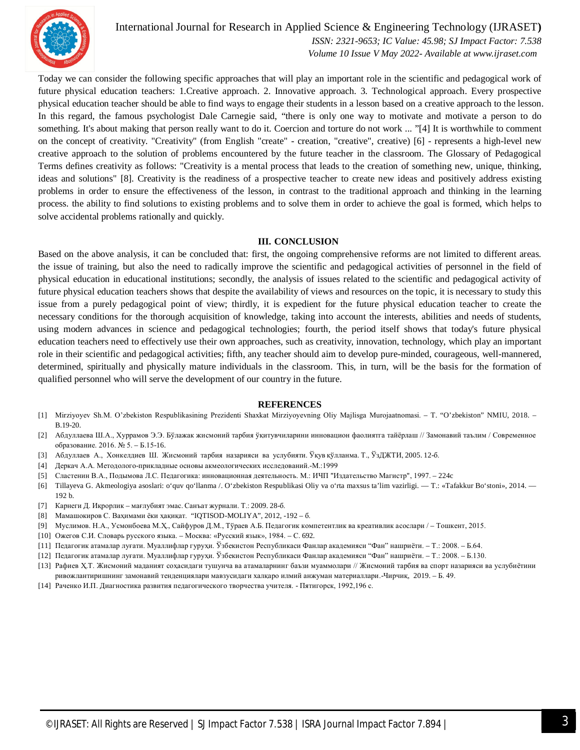

International Journal for Research in Applied Science & Engineering Technology (IJRASET**)**

 *ISSN: 2321-9653; IC Value: 45.98; SJ Impact Factor: 7.538 Volume 10 Issue V May 2022- Available at www.ijraset.com*

Today we can consider the following specific approaches that will play an important role in the scientific and pedagogical work of future physical education teachers: 1.Creative approach. 2. Innovative approach. 3. Technological approach. Every prospective physical education teacher should be able to find ways to engage their students in a lesson based on a creative approach to the lesson. In this regard, the famous psychologist Dale Carnegie said, "there is only one way to motivate and motivate a person to do something. It's about making that person really want to do it. Coercion and torture do not work ... "[4] It is worthwhile to comment on the concept of creativity. "Creativity" (from English "create" - creation, "creative", creative) [6] - represents a high-level new creative approach to the solution of problems encountered by the future teacher in the classroom. The Glossary of Pedagogical Terms defines creativity as follows: "Creativity is a mental process that leads to the creation of something new, unique, thinking, ideas and solutions" [8]. Creativity is the readiness of a prospective teacher to create new ideas and positively address existing problems in order to ensure the effectiveness of the lesson, in contrast to the traditional approach and thinking in the learning process. the ability to find solutions to existing problems and to solve them in order to achieve the goal is formed, which helps to solve accidental problems rationally and quickly.

### **III. CONCLUSION**

Based on the above analysis, it can be concluded that: first, the ongoing comprehensive reforms are not limited to different areas. the issue of training, but also the need to radically improve the scientific and pedagogical activities of personnel in the field of physical education in educational institutions; secondly, the analysis of issues related to the scientific and pedagogical activity of future physical education teachers shows that despite the availability of views and resources on the topic, it is necessary to study this issue from a purely pedagogical point of view; thirdly, it is expedient for the future physical education teacher to create the necessary conditions for the thorough acquisition of knowledge, taking into account the interests, abilities and needs of students, using modern advances in science and pedagogical technologies; fourth, the period itself shows that today's future physical education teachers need to effectively use their own approaches, such as creativity, innovation, technology, which play an important role in their scientific and pedagogical activities; fifth, any teacher should aim to develop pure-minded, courageous, well-mannered, determined, spiritually and physically mature individuals in the classroom. This, in turn, will be the basis for the formation of qualified personnel who will serve the development of our country in the future.

### **REFERENCES**

- [1] Mirziyoyev Sh.M. O'zbekiston Respublikasining Prezidenti Shaxkat Mirziyoyevning Oliy Majlisga Murojаatnomasi. T. "O'zbekiston" NMIU, 2018. B.19-20.
- [2] Абдуллаева Ш.А., Хуррамов Э.Э. Бўлажак жисмоний тарбия ўқитувчиларини инновацион фаолиятга тайёрлаш // Замонавий таълим / Современное образование. 2016. № 5. – Б.15-16.
- [3] Абдуллаев А., Хонкелдиев Ш. Жисмоний тарбия назарияси ва услубияти. Ўқув қўлланма. Т., ЎзДЖТИ, 2005. 12-б.
- [4] Деркач А.А. Методолого-прикладные основы акмеологических исследований.-М.:1999
- [5] Сластенин В.А., Подымова Л.С. Педагогика: инновационная деятельность. М.: ИЧП "Издательство Магистр", 1997. 224c
- [6] Tillayeva G. Akmeologiya asoslari: o'quv qo'llanma /. O'zbekiston Respublikasi Oliy va o'rta maxsus ta'lim vazirligi. T.: «Tafakkur Bo'stoni», 2014. 192 b.
- [7] Карнеги Д. Иқрорлик мағлубият эмас. Санъат журнали. Т.: 2009. 28-б.
- [8] Мамашокиров С. Ваҳимами ёки ҳақиқат. "IQTISOD-MOLIYA", 2012, -192 б.
- [9] Муслимов. Н.А., Усмонбоева М.Ҳ., Сайфуров Д.М., Тўраев А.Б. Педагогик компетентлик ва креативлик асослари / Тошкент, 2015.
- [10] Ожегов С.И. Словарь русского языка. Москва: «Русский язык», 1984. С. 692.
- [11] Педагогик атамалар луғати. Муаллифлар гуруҳи. Ўзбекистон Республикаси Фанлар академияси "Фан" нашриёти. Т.: 2008. Б.64.
- [12] Педагогик атамалар луғати. Муаллифлар гуруҳи. Ўзбекистон Республикаси Фанлар академияси "Фан" нашриёти. Т.: 2008. Б.130.
- [13] Рафиев Ҳ.Т. Жисмоний маданият соҳасидаги тушунча ва атамаларнинг баъзи муаммолари // Жисмоний тарбия ва спорт назарияси ва услубиётини ривожлантиришнинг замонавий тенденциялари мавзусидаги халқаро илмий анжуман материаллари.-Чирчиқ, 2019. – Б. 49.
- [14] Раченко И.П. Диагностика развития педагогического творчества учителя. Пятигорск, 1992,196 с.